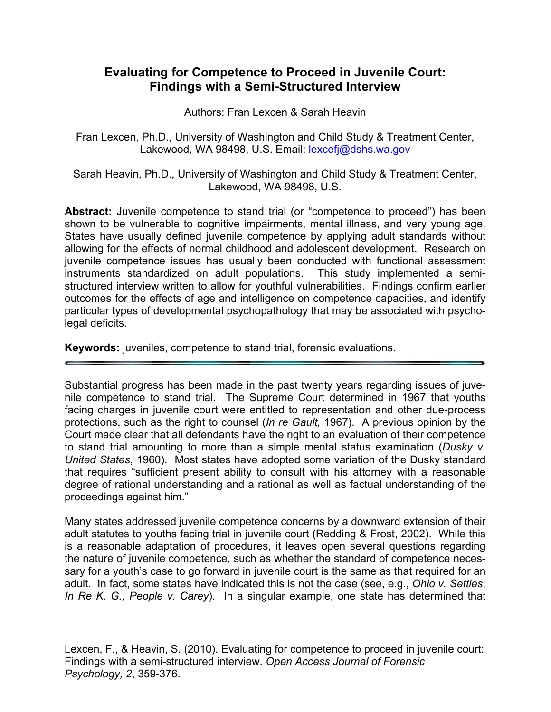# **Evaluating for Competence to Proceed in Juvenile Court: Findings with a Semi-Structured Interview**

Authors: Fran Lexcen & Sarah Heavin

Fran Lexcen, Ph.D., University of Washington and Child Study & Treatment Center, Lakewood, WA 98498, U.S. Email: lexcefi@dshs.wa.gov

Sarah Heavin, Ph.D., University of Washington and Child Study & Treatment Center, Lakewood, WA 98498, U.S.

**Abstract:** Juvenile competence to stand trial (or "competence to proceed") has been shown to be vulnerable to cognitive impairments, mental illness, and very young age. States have usually defined juvenile competence by applying adult standards without allowing for the effects of normal childhood and adolescent development. Research on juvenile competence issues has usually been conducted with functional assessment instruments standardized on adult populations. This study implemented a semistructured interview written to allow for youthful vulnerabilities. Findings confirm earlier outcomes for the effects of age and intelligence on competence capacities, and identify particular types of developmental psychopathology that may be associated with psycholegal deficits.

**Keywords:** juveniles, competence to stand trial, forensic evaluations.

Substantial progress has been made in the past twenty years regarding issues of juvenile competence to stand trial. The Supreme Court determined in 1967 that youths facing charges in juvenile court were entitled to representation and other due-process protections, such as the right to counsel (*In re Gault,* 1967). A previous opinion by the Court made clear that all defendants have the right to an evaluation of their competence to stand trial amounting to more than a simple mental status examination (*Dusky v. United States*, 1960). Most states have adopted some variation of the Dusky standard that requires "sufficient present ability to consult with his attorney with a reasonable degree of rational understanding and a rational as well as factual understanding of the proceedings against him."

Many states addressed juvenile competence concerns by a downward extension of their adult statutes to youths facing trial in juvenile court (Redding & Frost, 2002). While this is a reasonable adaptation of procedures, it leaves open several questions regarding the nature of juvenile competence, such as whether the standard of competence necessary for a youth's case to go forward in juvenile court is the same as that required for an adult. In fact, some states have indicated this is not the case (see, e.g., *Ohio v. Settles*; *In Re K. G., People v. Carey*). In a singular example, one state has determined that

Lexcen, F., & Heavin, S. (2010). Evaluating for competence to proceed in juvenile court: Findings with a semi-structured interview. *Open Access Journal of Forensic Psychology, 2*, 359-376.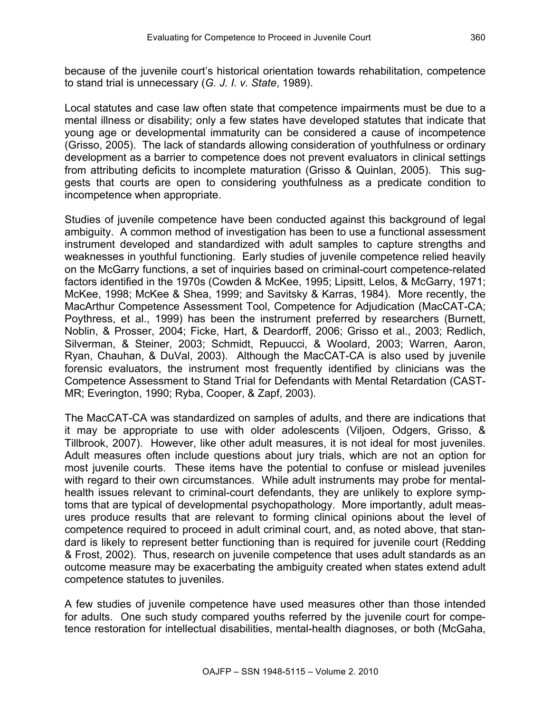because of the juvenile court's historical orientation towards rehabilitation, competence to stand trial is unnecessary (*G. J. I. v. State*, 1989).

Local statutes and case law often state that competence impairments must be due to a mental illness or disability; only a few states have developed statutes that indicate that young age or developmental immaturity can be considered a cause of incompetence (Grisso, 2005). The lack of standards allowing consideration of youthfulness or ordinary development as a barrier to competence does not prevent evaluators in clinical settings from attributing deficits to incomplete maturation (Grisso & Quinlan, 2005). This suggests that courts are open to considering youthfulness as a predicate condition to incompetence when appropriate.

Studies of juvenile competence have been conducted against this background of legal ambiguity. A common method of investigation has been to use a functional assessment instrument developed and standardized with adult samples to capture strengths and weaknesses in youthful functioning. Early studies of juvenile competence relied heavily on the McGarry functions, a set of inquiries based on criminal-court competence-related factors identified in the 1970s (Cowden & McKee, 1995; Lipsitt, Lelos, & McGarry, 1971; McKee, 1998; McKee & Shea, 1999; and Savitsky & Karras, 1984). More recently, the MacArthur Competence Assessment Tool, Competence for Adjudication (MacCAT-CA; Poythress, et al., 1999) has been the instrument preferred by researchers (Burnett, Noblin, & Prosser, 2004; Ficke, Hart, & Deardorff, 2006; Grisso et al., 2003; Redlich, Silverman, & Steiner, 2003; Schmidt, Repuucci, & Woolard, 2003; Warren, Aaron, Ryan, Chauhan, & DuVal, 2003). Although the MacCAT-CA is also used by juvenile forensic evaluators, the instrument most frequently identified by clinicians was the Competence Assessment to Stand Trial for Defendants with Mental Retardation (CAST-MR; Everington, 1990; Ryba, Cooper, & Zapf, 2003).

The MacCAT-CA was standardized on samples of adults, and there are indications that it may be appropriate to use with older adolescents (Viljoen, Odgers, Grisso, & Tillbrook, 2007). However, like other adult measures, it is not ideal for most juveniles. Adult measures often include questions about jury trials, which are not an option for most juvenile courts. These items have the potential to confuse or mislead juveniles with regard to their own circumstances. While adult instruments may probe for mentalhealth issues relevant to criminal-court defendants, they are unlikely to explore symptoms that are typical of developmental psychopathology. More importantly, adult measures produce results that are relevant to forming clinical opinions about the level of competence required to proceed in adult criminal court, and, as noted above, that standard is likely to represent better functioning than is required for juvenile court (Redding & Frost, 2002). Thus, research on juvenile competence that uses adult standards as an outcome measure may be exacerbating the ambiguity created when states extend adult competence statutes to juveniles.

A few studies of juvenile competence have used measures other than those intended for adults. One such study compared youths referred by the juvenile court for competence restoration for intellectual disabilities, mental-health diagnoses, or both (McGaha,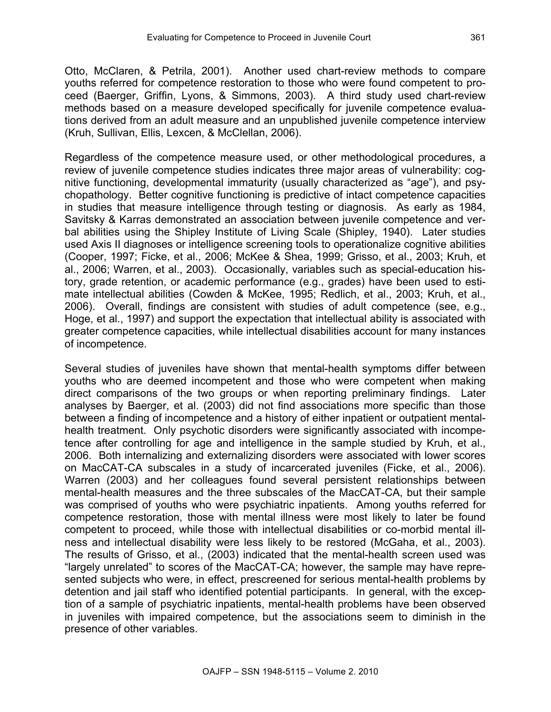Otto, McClaren, & Petrila, 2001). Another used chart-review methods to compare youths referred for competence restoration to those who were found competent to proceed (Baerger, Griffin, Lyons, & Simmons, 2003). A third study used chart-review methods based on a measure developed specifically for juvenile competence evaluations derived from an adult measure and an unpublished juvenile competence interview (Kruh, Sullivan, Ellis, Lexcen, & McClellan, 2006).

Regardless of the competence measure used, or other methodological procedures, a review of juvenile competence studies indicates three major areas of vulnerability: cognitive functioning, developmental immaturity (usually characterized as "age"), and psychopathology. Better cognitive functioning is predictive of intact competence capacities in studies that measure intelligence through testing or diagnosis. As early as 1984, Savitsky & Karras demonstrated an association between juvenile competence and verbal abilities using the Shipley Institute of Living Scale (Shipley, 1940). Later studies used Axis II diagnoses or intelligence screening tools to operationalize cognitive abilities (Cooper, 1997; Ficke, et al., 2006; McKee & Shea, 1999; Grisso, et al., 2003; Kruh, et al., 2006; Warren, et al., 2003). Occasionally, variables such as special-education history, grade retention, or academic performance (e.g., grades) have been used to estimate intellectual abilities (Cowden & McKee, 1995; Redlich, et al., 2003; Kruh, et al., 2006). Overall, findings are consistent with studies of adult competence (see, e.g., Hoge, et al., 1997) and support the expectation that intellectual ability is associated with greater competence capacities, while intellectual disabilities account for many instances of incompetence.

Several studies of juveniles have shown that mental-health symptoms differ between youths who are deemed incompetent and those who were competent when making direct comparisons of the two groups or when reporting preliminary findings. Later analyses by Baerger, et al. (2003) did not find associations more specific than those between a finding of incompetence and a history of either inpatient or outpatient mentalhealth treatment. Only psychotic disorders were significantly associated with incompetence after controlling for age and intelligence in the sample studied by Kruh, et al., 2006. Both internalizing and externalizing disorders were associated with lower scores on MacCAT-CA subscales in a study of incarcerated juveniles (Ficke, et al., 2006). Warren (2003) and her colleagues found several persistent relationships between mental-health measures and the three subscales of the MacCAT-CA, but their sample was comprised of youths who were psychiatric inpatients. Among youths referred for competence restoration, those with mental illness were most likely to later be found competent to proceed, while those with intellectual disabilities or co-morbid mental illness and intellectual disability were less likely to be restored (McGaha, et al., 2003). The results of Grisso, et al., (2003) indicated that the mental-health screen used was "largely unrelated" to scores of the MacCAT-CA; however, the sample may have represented subjects who were, in effect, prescreened for serious mental-health problems by detention and jail staff who identified potential participants. In general, with the exception of a sample of psychiatric inpatients, mental-health problems have been observed in juveniles with impaired competence, but the associations seem to diminish in the presence of other variables.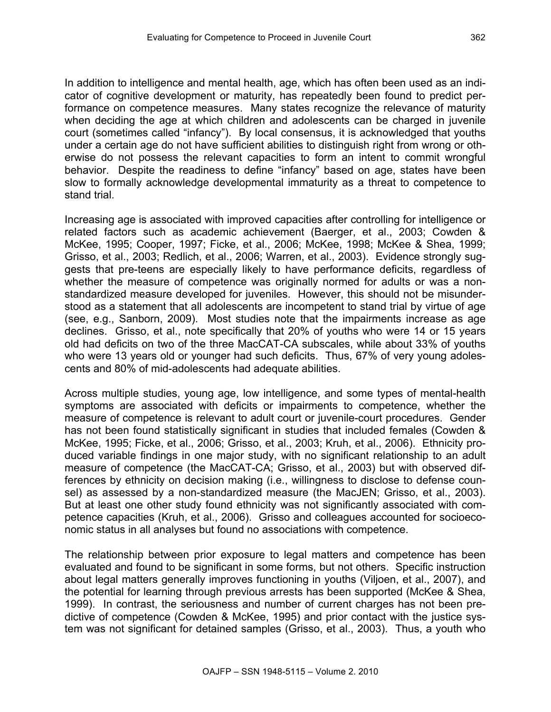In addition to intelligence and mental health, age, which has often been used as an indicator of cognitive development or maturity, has repeatedly been found to predict performance on competence measures. Many states recognize the relevance of maturity when deciding the age at which children and adolescents can be charged in juvenile court (sometimes called "infancy"). By local consensus, it is acknowledged that youths under a certain age do not have sufficient abilities to distinguish right from wrong or otherwise do not possess the relevant capacities to form an intent to commit wrongful behavior. Despite the readiness to define "infancy" based on age, states have been slow to formally acknowledge developmental immaturity as a threat to competence to stand trial.

Increasing age is associated with improved capacities after controlling for intelligence or related factors such as academic achievement (Baerger, et al., 2003; Cowden & McKee, 1995; Cooper, 1997; Ficke, et al., 2006; McKee, 1998; McKee & Shea, 1999; Grisso, et al., 2003; Redlich, et al., 2006; Warren, et al., 2003). Evidence strongly suggests that pre-teens are especially likely to have performance deficits, regardless of whether the measure of competence was originally normed for adults or was a nonstandardized measure developed for juveniles. However, this should not be misunderstood as a statement that all adolescents are incompetent to stand trial by virtue of age (see, e.g., Sanborn, 2009). Most studies note that the impairments increase as age declines. Grisso, et al., note specifically that 20% of youths who were 14 or 15 years old had deficits on two of the three MacCAT-CA subscales, while about 33% of youths who were 13 years old or younger had such deficits. Thus, 67% of very young adolescents and 80% of mid-adolescents had adequate abilities.

Across multiple studies, young age, low intelligence, and some types of mental-health symptoms are associated with deficits or impairments to competence, whether the measure of competence is relevant to adult court or juvenile-court procedures. Gender has not been found statistically significant in studies that included females (Cowden & McKee, 1995; Ficke, et al., 2006; Grisso, et al., 2003; Kruh, et al., 2006). Ethnicity produced variable findings in one major study, with no significant relationship to an adult measure of competence (the MacCAT-CA; Grisso, et al., 2003) but with observed differences by ethnicity on decision making (i.e., willingness to disclose to defense counsel) as assessed by a non-standardized measure (the MacJEN; Grisso, et al., 2003). But at least one other study found ethnicity was not significantly associated with competence capacities (Kruh, et al., 2006). Grisso and colleagues accounted for socioeconomic status in all analyses but found no associations with competence.

The relationship between prior exposure to legal matters and competence has been evaluated and found to be significant in some forms, but not others. Specific instruction about legal matters generally improves functioning in youths (Viljoen, et al., 2007), and the potential for learning through previous arrests has been supported (McKee & Shea, 1999). In contrast, the seriousness and number of current charges has not been predictive of competence (Cowden & McKee, 1995) and prior contact with the justice system was not significant for detained samples (Grisso, et al., 2003). Thus, a youth who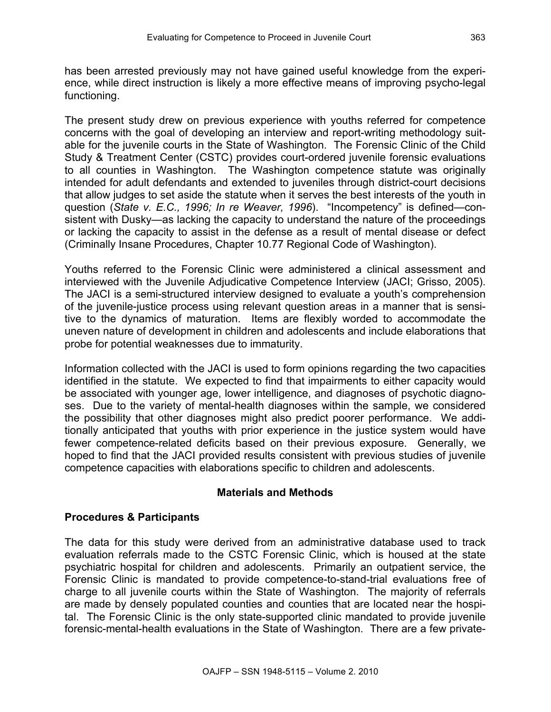has been arrested previously may not have gained useful knowledge from the experience, while direct instruction is likely a more effective means of improving psycho-legal functioning.

The present study drew on previous experience with youths referred for competence concerns with the goal of developing an interview and report-writing methodology suitable for the juvenile courts in the State of Washington. The Forensic Clinic of the Child Study & Treatment Center (CSTC) provides court-ordered juvenile forensic evaluations to all counties in Washington. The Washington competence statute was originally intended for adult defendants and extended to juveniles through district-court decisions that allow judges to set aside the statute when it serves the best interests of the youth in question (*State v. E.C., 1996; In re Weaver, 1996*). "Incompetency" is defined—consistent with Dusky—as lacking the capacity to understand the nature of the proceedings or lacking the capacity to assist in the defense as a result of mental disease or defect (Criminally Insane Procedures, Chapter 10.77 Regional Code of Washington).

Youths referred to the Forensic Clinic were administered a clinical assessment and interviewed with the Juvenile Adjudicative Competence Interview (JACI; Grisso, 2005). The JACI is a semi-structured interview designed to evaluate a youth's comprehension of the juvenile-justice process using relevant question areas in a manner that is sensitive to the dynamics of maturation. Items are flexibly worded to accommodate the uneven nature of development in children and adolescents and include elaborations that probe for potential weaknesses due to immaturity.

Information collected with the JACI is used to form opinions regarding the two capacities identified in the statute. We expected to find that impairments to either capacity would be associated with younger age, lower intelligence, and diagnoses of psychotic diagnoses. Due to the variety of mental-health diagnoses within the sample, we considered the possibility that other diagnoses might also predict poorer performance. We additionally anticipated that youths with prior experience in the justice system would have fewer competence-related deficits based on their previous exposure. Generally, we hoped to find that the JACI provided results consistent with previous studies of juvenile competence capacities with elaborations specific to children and adolescents.

# **Materials and Methods**

# **Procedures & Participants**

The data for this study were derived from an administrative database used to track evaluation referrals made to the CSTC Forensic Clinic, which is housed at the state psychiatric hospital for children and adolescents. Primarily an outpatient service, the Forensic Clinic is mandated to provide competence-to-stand-trial evaluations free of charge to all juvenile courts within the State of Washington. The majority of referrals are made by densely populated counties and counties that are located near the hospital. The Forensic Clinic is the only state-supported clinic mandated to provide juvenile forensic-mental-health evaluations in the State of Washington. There are a few private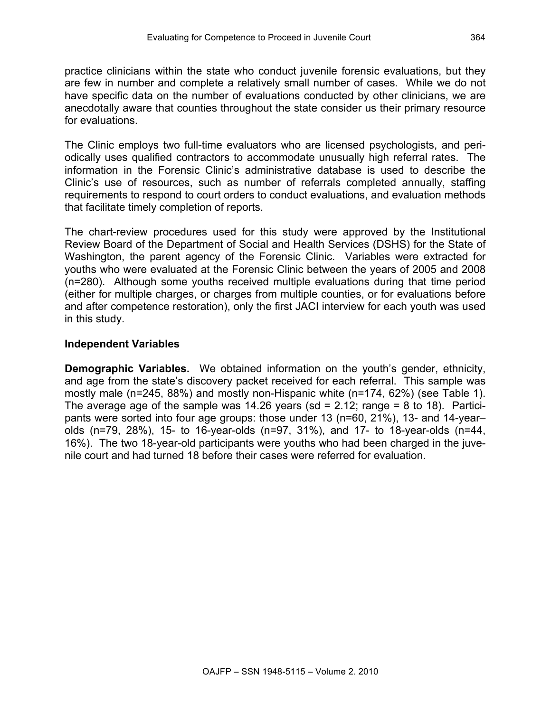practice clinicians within the state who conduct juvenile forensic evaluations, but they are few in number and complete a relatively small number of cases. While we do not have specific data on the number of evaluations conducted by other clinicians, we are anecdotally aware that counties throughout the state consider us their primary resource for evaluations.

The Clinic employs two full-time evaluators who are licensed psychologists, and periodically uses qualified contractors to accommodate unusually high referral rates. The information in the Forensic Clinic's administrative database is used to describe the Clinic's use of resources, such as number of referrals completed annually, staffing requirements to respond to court orders to conduct evaluations, and evaluation methods that facilitate timely completion of reports.

The chart-review procedures used for this study were approved by the Institutional Review Board of the Department of Social and Health Services (DSHS) for the State of Washington, the parent agency of the Forensic Clinic. Variables were extracted for youths who were evaluated at the Forensic Clinic between the years of 2005 and 2008 (n=280). Although some youths received multiple evaluations during that time period (either for multiple charges, or charges from multiple counties, or for evaluations before and after competence restoration), only the first JACI interview for each youth was used in this study.

# **Independent Variables**

**Demographic Variables.** We obtained information on the youth's gender, ethnicity, and age from the state's discovery packet received for each referral. This sample was mostly male (n=245, 88%) and mostly non-Hispanic white (n=174, 62%) (see Table 1). The average age of the sample was  $14.26$  years (sd = 2.12; range = 8 to 18). Participants were sorted into four age groups: those under 13 (n=60, 21%), 13- and 14-year– olds (n=79, 28%), 15- to 16-year-olds (n=97, 31%), and 17- to 18-year-olds (n=44, 16%). The two 18-year-old participants were youths who had been charged in the juvenile court and had turned 18 before their cases were referred for evaluation.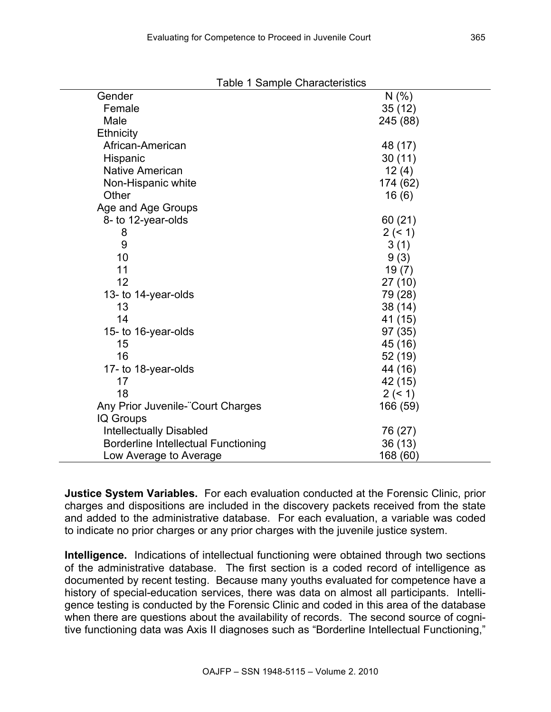| <b>Table 1 Sample Characteristics</b>      |          |
|--------------------------------------------|----------|
| Gender                                     | N(% )    |
| Female                                     | 35(12)   |
| Male                                       | 245 (88) |
| <b>Ethnicity</b>                           |          |
| African-American                           | 48 (17)  |
| Hispanic                                   | 30(11)   |
| <b>Native American</b>                     | 12(4)    |
| Non-Hispanic white                         | 174 (62) |
| Other                                      | 16(6)    |
| Age and Age Groups                         |          |
| 8- to 12-year-olds                         | 60(21)   |
| 8                                          | 2 (< 1)  |
| 9                                          | 3(1)     |
| 10                                         | 9(3)     |
| 11                                         | 19(7)    |
| 12                                         | 27(10)   |
| 13- to 14-year-olds                        | 79 (28)  |
| 13                                         | 38 (14)  |
| 14                                         | 41 (15)  |
| 15- to 16-year-olds                        | 97 (35)  |
| 15                                         | 45 (16)  |
| 16                                         | 52 (19)  |
| 17- to 18-year-olds                        | 44 (16)  |
| 17                                         | 42 (15)  |
| 18                                         | 2 (< 1)  |
| Any Prior Juvenile- Court Charges          | 166 (59) |
| IQ Groups                                  |          |
| <b>Intellectually Disabled</b>             | 76 (27)  |
| <b>Borderline Intellectual Functioning</b> | 36 (13)  |
| Low Average to Average                     | 168 (60) |

**Justice System Variables.** For each evaluation conducted at the Forensic Clinic, prior charges and dispositions are included in the discovery packets received from the state and added to the administrative database. For each evaluation, a variable was coded to indicate no prior charges or any prior charges with the juvenile justice system.

**Intelligence.** Indications of intellectual functioning were obtained through two sections of the administrative database. The first section is a coded record of intelligence as documented by recent testing. Because many youths evaluated for competence have a history of special-education services, there was data on almost all participants. Intelligence testing is conducted by the Forensic Clinic and coded in this area of the database when there are questions about the availability of records. The second source of cognitive functioning data was Axis II diagnoses such as "Borderline Intellectual Functioning,"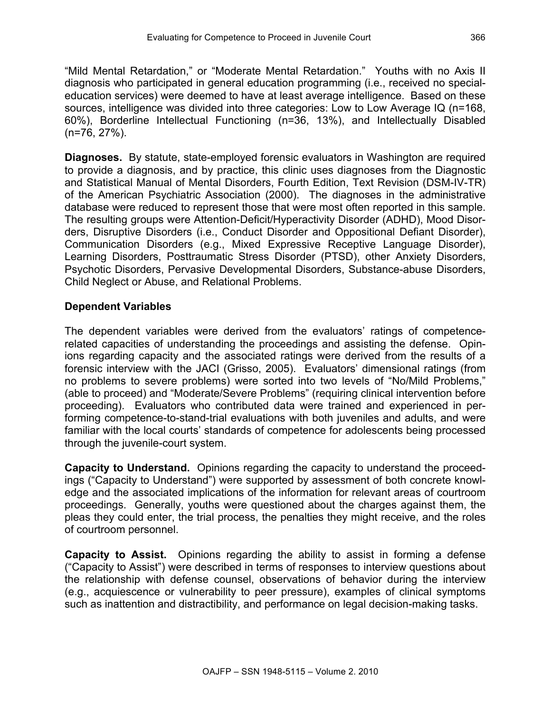"Mild Mental Retardation," or "Moderate Mental Retardation." Youths with no Axis II diagnosis who participated in general education programming (i.e., received no specialeducation services) were deemed to have at least average intelligence. Based on these sources, intelligence was divided into three categories: Low to Low Average IQ (n=168, 60%), Borderline Intellectual Functioning (n=36, 13%), and Intellectually Disabled (n=76, 27%).

**Diagnoses.** By statute, state-employed forensic evaluators in Washington are required to provide a diagnosis, and by practice, this clinic uses diagnoses from the Diagnostic and Statistical Manual of Mental Disorders, Fourth Edition, Text Revision (DSM-IV-TR) of the American Psychiatric Association (2000). The diagnoses in the administrative database were reduced to represent those that were most often reported in this sample. The resulting groups were Attention-Deficit/Hyperactivity Disorder (ADHD), Mood Disorders, Disruptive Disorders (i.e., Conduct Disorder and Oppositional Defiant Disorder), Communication Disorders (e.g., Mixed Expressive Receptive Language Disorder), Learning Disorders, Posttraumatic Stress Disorder (PTSD), other Anxiety Disorders, Psychotic Disorders, Pervasive Developmental Disorders, Substance-abuse Disorders, Child Neglect or Abuse, and Relational Problems.

# **Dependent Variables**

The dependent variables were derived from the evaluators' ratings of competencerelated capacities of understanding the proceedings and assisting the defense. Opinions regarding capacity and the associated ratings were derived from the results of a forensic interview with the JACI (Grisso, 2005). Evaluators' dimensional ratings (from no problems to severe problems) were sorted into two levels of "No/Mild Problems," (able to proceed) and "Moderate/Severe Problems" (requiring clinical intervention before proceeding). Evaluators who contributed data were trained and experienced in performing competence-to-stand-trial evaluations with both juveniles and adults, and were familiar with the local courts' standards of competence for adolescents being processed through the juvenile-court system.

**Capacity to Understand.**Opinions regarding the capacity to understand the proceedings ("Capacity to Understand") were supported by assessment of both concrete knowledge and the associated implications of the information for relevant areas of courtroom proceedings. Generally, youths were questioned about the charges against them, the pleas they could enter, the trial process, the penalties they might receive, and the roles of courtroom personnel.

**Capacity to Assist.**Opinions regarding the ability to assist in forming a defense ("Capacity to Assist") were described in terms of responses to interview questions about the relationship with defense counsel, observations of behavior during the interview (e.g., acquiescence or vulnerability to peer pressure), examples of clinical symptoms such as inattention and distractibility, and performance on legal decision-making tasks.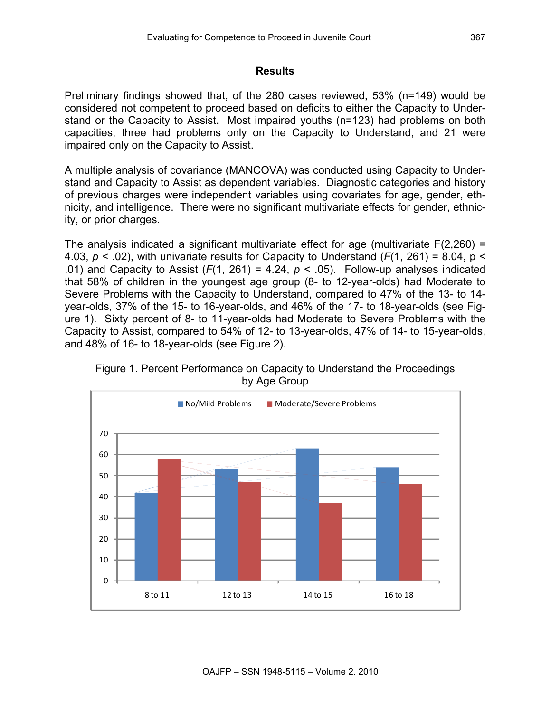### **Results**

Preliminary findings showed that, of the 280 cases reviewed, 53% (n=149) would be considered not competent to proceed based on deficits to either the Capacity to Understand or the Capacity to Assist. Most impaired youths (n=123) had problems on both capacities, three had problems only on the Capacity to Understand, and 21 were impaired only on the Capacity to Assist.

A multiple analysis of covariance (MANCOVA) was conducted using Capacity to Understand and Capacity to Assist as dependent variables. Diagnostic categories and history of previous charges were independent variables using covariates for age, gender, ethnicity, and intelligence. There were no significant multivariate effects for gender, ethnicity, or prior charges.

The analysis indicated a significant multivariate effect for age (multivariate F(2,260) = 4.03,  $p < .02$ ), with univariate results for Capacity to Understand ( $F(1, 261) = 8.04$ ,  $p <$ .01) and Capacity to Assist  $(F(1, 261) = 4.24, p < .05)$ . Follow-up analyses indicated that 58% of children in the youngest age group (8- to 12-year-olds) had Moderate to Severe Problems with the Capacity to Understand, compared to 47% of the 13- to 14 year-olds, 37% of the 15- to 16-year-olds, and 46% of the 17- to 18-year-olds (see Figure 1). Sixty percent of 8- to 11-year-olds had Moderate to Severe Problems with the Capacity to Assist, compared to 54% of 12- to 13-year-olds, 47% of 14- to 15-year-olds, and 48% of 16- to 18-year-olds (see Figure 2).



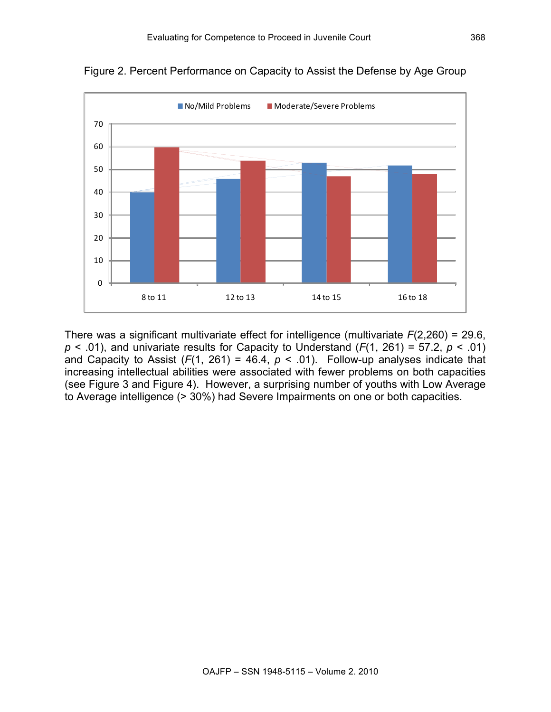

Figure 2. Percent Performance on Capacity to Assist the Defense by Age Group

There was a significant multivariate effect for intelligence (multivariate *F*(2,260) = 29.6,  $p$  < .01), and univariate results for Capacity to Understand ( $F(1, 261) = 57.2$ ,  $p$  < .01) and Capacity to Assist  $(F(1, 261) = 46.4, p < .01)$ . Follow-up analyses indicate that increasing intellectual abilities were associated with fewer problems on both capacities (see Figure 3 and Figure 4). However, a surprising number of youths with Low Average to Average intelligence (> 30%) had Severe Impairments on one or both capacities.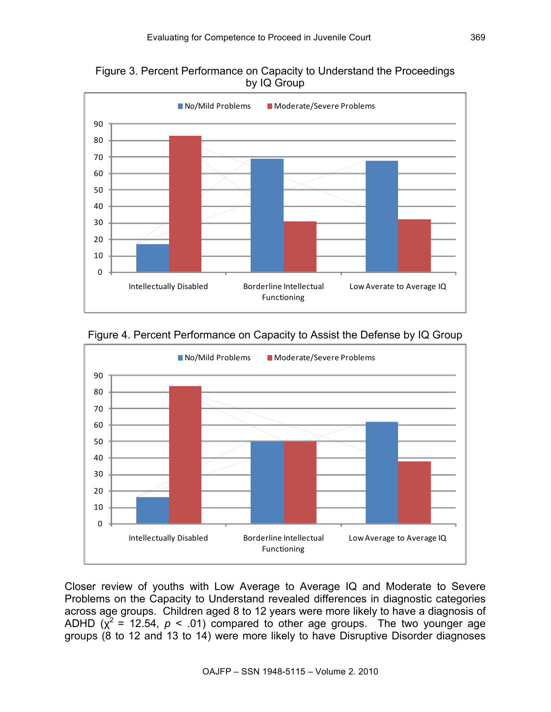Figure 3. Percent Performance on Capacity to Understand the Proceedings by IQ Group



Figure 4. Percent Performance on Capacity to Assist the Defense by IQ Group



Closer review of youths with Low Average to Average IQ and Moderate to Severe Problems on the Capacity to Understand revealed differences in diagnostic categories across age groups. Children aged 8 to 12 years were more likely to have a diagnosis of ADHD  $(x^2 = 12.54, p < .01)$  compared to other age groups. The two younger age groups (8 to 12 and 13 to 14) were more likely to have Disruptive Disorder diagnoses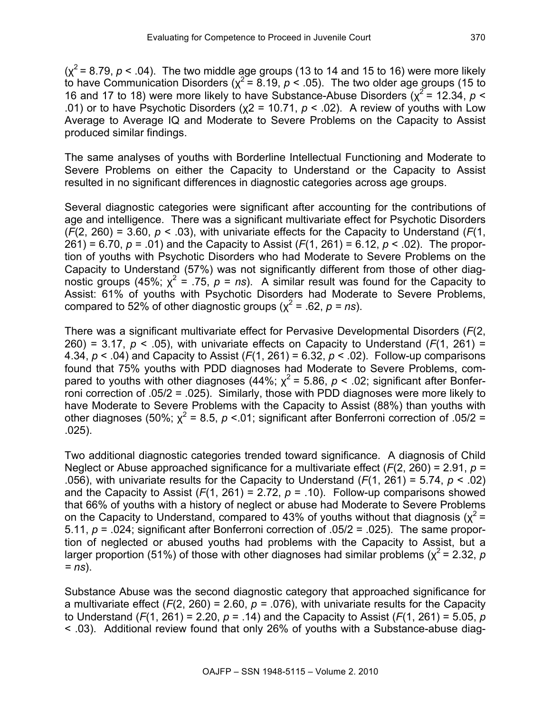$(x^2 = 8.79, p < .04)$ . The two middle age groups (13 to 14 and 15 to 16) were more likely to have Communication Disorders ( $\chi^2$  = 8.19,  $p < .05$ ). The two older age groups (15 to 16 and 17 to 18) were more likely to have Substance-Abuse Disorders ( $\chi^2$  = 12.34, *p* < .01) or to have Psychotic Disorders ( $\chi$ 2 = 10.71,  $p$  < .02). A review of youths with Low Average to Average IQ and Moderate to Severe Problems on the Capacity to Assist produced similar findings.

The same analyses of youths with Borderline Intellectual Functioning and Moderate to Severe Problems on either the Capacity to Understand or the Capacity to Assist resulted in no significant differences in diagnostic categories across age groups.

Several diagnostic categories were significant after accounting for the contributions of age and intelligence. There was a significant multivariate effect for Psychotic Disorders (*F*(2, 260) = 3.60, *p* < .03), with univariate effects for the Capacity to Understand (*F*(1, 261) = 6.70, *p* = .01) and the Capacity to Assist (*F*(1, 261) = 6.12, *p* < .02). The proportion of youths with Psychotic Disorders who had Moderate to Severe Problems on the Capacity to Understand (57%) was not significantly different from those of other diagnostic groups (45%;  $\chi^2$  = .75,  $p = ns$ ). A similar result was found for the Capacity to Assist: 61% of youths with Psychotic Disorders had Moderate to Severe Problems, compared to 52% of other diagnostic groups ( $\chi^2$  = .62, *p* = *ns*).

There was a significant multivariate effect for Pervasive Developmental Disorders (*F*(2, 260) = 3.17,  $p < .05$ ), with univariate effects on Capacity to Understand ( $F(1, 261)$  = 4.34, *p* < .04) and Capacity to Assist (*F*(1, 261) = 6.32, *p* < .02). Follow-up comparisons found that 75% youths with PDD diagnoses had Moderate to Severe Problems, compared to youths with other diagnoses (44%;  $\chi^2$  = 5.86,  $p$  < .02; significant after Bonferroni correction of .05/2 = .025). Similarly, those with PDD diagnoses were more likely to have Moderate to Severe Problems with the Capacity to Assist (88%) than youths with other diagnoses (50%;  $\chi^2$  = 8.5,  $p < 01$ ; significant after Bonferroni correction of .05/2 = .025).

Two additional diagnostic categories trended toward significance. A diagnosis of Child Neglect or Abuse approached significance for a multivariate effect (*F*(2, 260) = 2.91, *p =* .056), with univariate results for the Capacity to Understand (*F*(1, 261) = 5.74, *p* < .02) and the Capacity to Assist  $(F(1, 261) = 2.72, p = .10)$ . Follow-up comparisons showed that 66% of youths with a history of neglect or abuse had Moderate to Severe Problems on the Capacity to Understand, compared to 43% of youths without that diagnosis ( $x^2$  = 5.11, *p* = .024; significant after Bonferroni correction of .05/2 = .025). The same proportion of neglected or abused youths had problems with the Capacity to Assist, but a larger proportion (51%) of those with other diagnoses had similar problems ( $x^2$  = 2.32, *p = ns*).

Substance Abuse was the second diagnostic category that approached significance for a multivariate effect  $(F(2, 260) = 2.60, p = .076)$ , with univariate results for the Capacity to Understand (*F*(1, 261) = 2.20, *p* = .14) and the Capacity to Assist (*F*(1, 261) = 5.05, *p*  < .03). Additional review found that only 26% of youths with a Substance-abuse diag-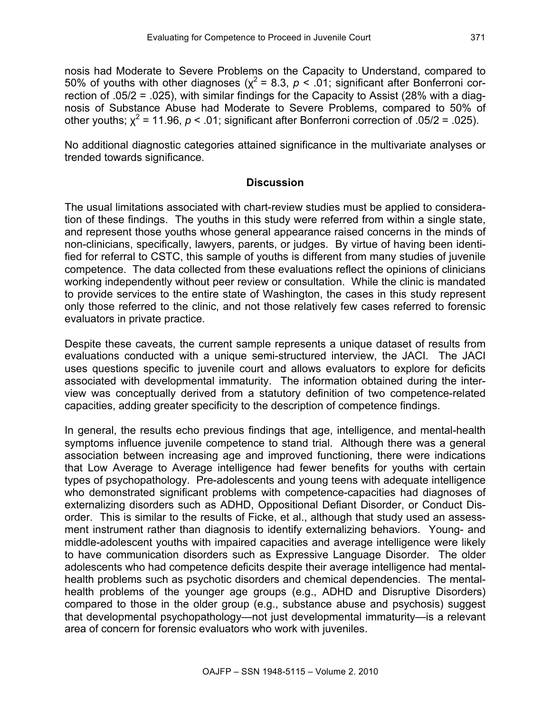nosis had Moderate to Severe Problems on the Capacity to Understand, compared to 50% of youths with other diagnoses ( $x^2$  = 8.3,  $p < 0.01$ ; significant after Bonferroni correction of .05/2 = .025), with similar findings for the Capacity to Assist (28% with a diagnosis of Substance Abuse had Moderate to Severe Problems, compared to 50% of other youths;  $x^2 = 11.96$ ,  $p < .01$ ; significant after Bonferroni correction of  $.05/2 = .025$ ).

No additional diagnostic categories attained significance in the multivariate analyses or trended towards significance.

# **Discussion**

The usual limitations associated with chart-review studies must be applied to consideration of these findings. The youths in this study were referred from within a single state, and represent those youths whose general appearance raised concerns in the minds of non-clinicians, specifically, lawyers, parents, or judges. By virtue of having been identified for referral to CSTC, this sample of youths is different from many studies of juvenile competence. The data collected from these evaluations reflect the opinions of clinicians working independently without peer review or consultation. While the clinic is mandated to provide services to the entire state of Washington, the cases in this study represent only those referred to the clinic, and not those relatively few cases referred to forensic evaluators in private practice.

Despite these caveats, the current sample represents a unique dataset of results from evaluations conducted with a unique semi-structured interview, the JACI. The JACI uses questions specific to juvenile court and allows evaluators to explore for deficits associated with developmental immaturity. The information obtained during the interview was conceptually derived from a statutory definition of two competence-related capacities, adding greater specificity to the description of competence findings.

In general, the results echo previous findings that age, intelligence, and mental-health symptoms influence juvenile competence to stand trial. Although there was a general association between increasing age and improved functioning, there were indications that Low Average to Average intelligence had fewer benefits for youths with certain types of psychopathology. Pre-adolescents and young teens with adequate intelligence who demonstrated significant problems with competence-capacities had diagnoses of externalizing disorders such as ADHD, Oppositional Defiant Disorder, or Conduct Disorder. This is similar to the results of Ficke, et al., although that study used an assessment instrument rather than diagnosis to identify externalizing behaviors. Young- and middle-adolescent youths with impaired capacities and average intelligence were likely to have communication disorders such as Expressive Language Disorder. The older adolescents who had competence deficits despite their average intelligence had mentalhealth problems such as psychotic disorders and chemical dependencies. The mentalhealth problems of the younger age groups (e.g., ADHD and Disruptive Disorders) compared to those in the older group (e.g., substance abuse and psychosis) suggest that developmental psychopathology—not just developmental immaturity—is a relevant area of concern for forensic evaluators who work with juveniles.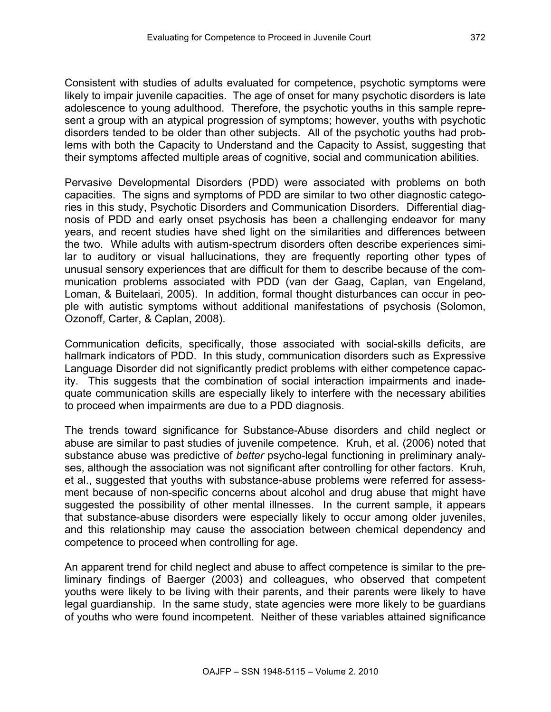Consistent with studies of adults evaluated for competence, psychotic symptoms were likely to impair juvenile capacities. The age of onset for many psychotic disorders is late adolescence to young adulthood. Therefore, the psychotic youths in this sample represent a group with an atypical progression of symptoms; however, youths with psychotic disorders tended to be older than other subjects. All of the psychotic youths had problems with both the Capacity to Understand and the Capacity to Assist, suggesting that their symptoms affected multiple areas of cognitive, social and communication abilities.

Pervasive Developmental Disorders (PDD) were associated with problems on both capacities. The signs and symptoms of PDD are similar to two other diagnostic categories in this study, Psychotic Disorders and Communication Disorders. Differential diagnosis of PDD and early onset psychosis has been a challenging endeavor for many years, and recent studies have shed light on the similarities and differences between the two. While adults with autism-spectrum disorders often describe experiences similar to auditory or visual hallucinations, they are frequently reporting other types of unusual sensory experiences that are difficult for them to describe because of the communication problems associated with PDD (van der Gaag, Caplan, van Engeland, Loman, & Buitelaari, 2005). In addition, formal thought disturbances can occur in people with autistic symptoms without additional manifestations of psychosis (Solomon, Ozonoff, Carter, & Caplan, 2008).

Communication deficits, specifically, those associated with social-skills deficits, are hallmark indicators of PDD. In this study, communication disorders such as Expressive Language Disorder did not significantly predict problems with either competence capacity. This suggests that the combination of social interaction impairments and inadequate communication skills are especially likely to interfere with the necessary abilities to proceed when impairments are due to a PDD diagnosis.

The trends toward significance for Substance-Abuse disorders and child neglect or abuse are similar to past studies of juvenile competence. Kruh, et al. (2006) noted that substance abuse was predictive of *better* psycho-legal functioning in preliminary analyses, although the association was not significant after controlling for other factors. Kruh, et al., suggested that youths with substance-abuse problems were referred for assessment because of non-specific concerns about alcohol and drug abuse that might have suggested the possibility of other mental illnesses. In the current sample, it appears that substance-abuse disorders were especially likely to occur among older juveniles, and this relationship may cause the association between chemical dependency and competence to proceed when controlling for age.

An apparent trend for child neglect and abuse to affect competence is similar to the preliminary findings of Baerger (2003) and colleagues, who observed that competent youths were likely to be living with their parents, and their parents were likely to have legal guardianship. In the same study, state agencies were more likely to be guardians of youths who were found incompetent. Neither of these variables attained significance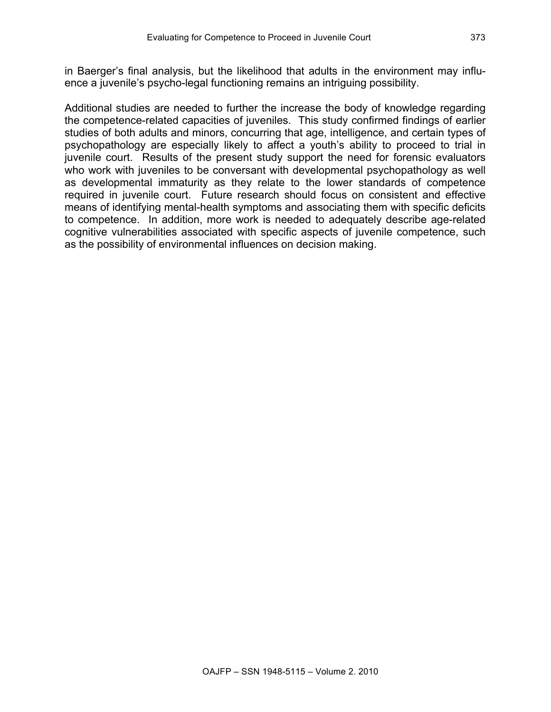in Baerger's final analysis, but the likelihood that adults in the environment may influence a juvenile's psycho-legal functioning remains an intriguing possibility.

Additional studies are needed to further the increase the body of knowledge regarding the competence-related capacities of juveniles. This study confirmed findings of earlier studies of both adults and minors, concurring that age, intelligence, and certain types of psychopathology are especially likely to affect a youth's ability to proceed to trial in juvenile court. Results of the present study support the need for forensic evaluators who work with juveniles to be conversant with developmental psychopathology as well as developmental immaturity as they relate to the lower standards of competence required in juvenile court. Future research should focus on consistent and effective means of identifying mental-health symptoms and associating them with specific deficits to competence. In addition, more work is needed to adequately describe age-related cognitive vulnerabilities associated with specific aspects of juvenile competence, such as the possibility of environmental influences on decision making.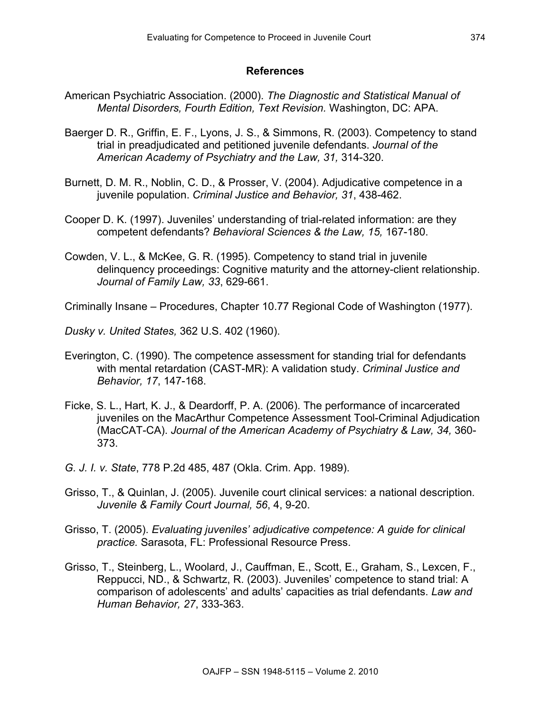#### **References**

- American Psychiatric Association. (2000). *The Diagnostic and Statistical Manual of Mental Disorders, Fourth Edition, Text Revision.* Washington, DC: APA.
- Baerger D. R., Griffin, E. F., Lyons, J. S., & Simmons, R. (2003). Competency to stand trial in preadjudicated and petitioned juvenile defendants. *Journal of the American Academy of Psychiatry and the Law, 31,* 314-320.
- Burnett, D. M. R., Noblin, C. D., & Prosser, V. (2004). Adjudicative competence in a juvenile population. *Criminal Justice and Behavior, 31*, 438-462.
- Cooper D. K. (1997). Juveniles' understanding of trial-related information: are they competent defendants? *Behavioral Sciences & the Law, 15,* 167-180.
- Cowden, V. L., & McKee, G. R. (1995). Competency to stand trial in juvenile delinquency proceedings: Cognitive maturity and the attorney-client relationship. *Journal of Family Law, 33*, 629-661.
- Criminally Insane Procedures, Chapter 10.77 Regional Code of Washington (1977).
- *Dusky v. United States,* 362 U.S. 402 (1960).
- Everington, C. (1990). The competence assessment for standing trial for defendants with mental retardation (CAST-MR): A validation study. *Criminal Justice and Behavior, 17*, 147-168.
- Ficke, S. L., Hart, K. J., & Deardorff, P. A. (2006). The performance of incarcerated juveniles on the MacArthur Competence Assessment Tool-Criminal Adjudication (MacCAT-CA). *Journal of the American Academy of Psychiatry & Law, 34,* 360- 373.
- *G. J. I. v. State*, 778 P.2d 485, 487 (Okla. Crim. App. 1989).
- Grisso, T., & Quinlan, J. (2005). Juvenile court clinical services: a national description*. Juvenile & Family Court Journal, 56*, 4, 9-20.
- Grisso, T. (2005). *Evaluating juveniles' adjudicative competence: A guide for clinical practice.* Sarasota, FL: Professional Resource Press.
- Grisso, T., Steinberg, L., Woolard, J., Cauffman, E., Scott, E., Graham, S., Lexcen, F., Reppucci, ND., & Schwartz, R. (2003). Juveniles' competence to stand trial: A comparison of adolescents' and adults' capacities as trial defendants. *Law and Human Behavior, 27*, 333-363.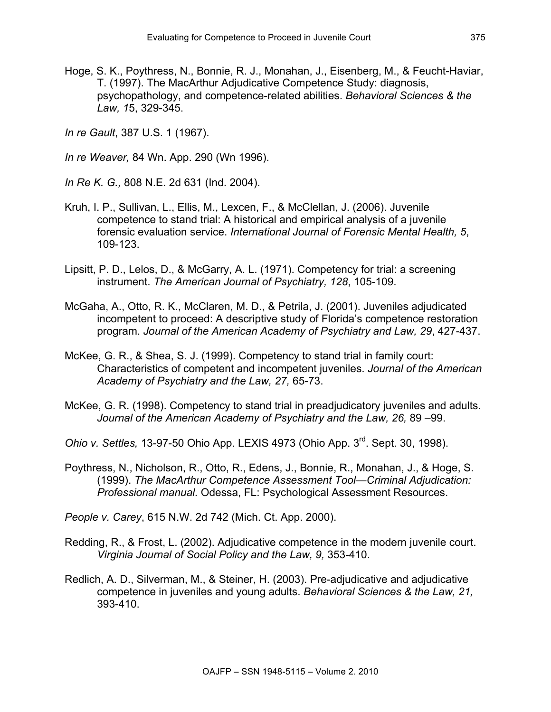- Hoge, S. K., Poythress, N., Bonnie, R. J., Monahan, J., Eisenberg, M., & Feucht-Haviar, T. (1997). The MacArthur Adjudicative Competence Study: diagnosis, psychopathology, and competence-related abilities. *Behavioral Sciences & the Law, 1*5, 329-345.
- *In re Gault*, 387 U.S. 1 (1967).
- *In re Weaver,* 84 Wn. App. 290 (Wn 1996).
- *In Re K. G.,* 808 N.E. 2d 631 (Ind. 2004).
- Kruh, I. P., Sullivan, L., Ellis, M., Lexcen, F., & McClellan, J. (2006). Juvenile competence to stand trial: A historical and empirical analysis of a juvenile forensic evaluation service. *International Journal of Forensic Mental Health, 5*, 109-123.
- Lipsitt, P. D., Lelos, D., & McGarry, A. L. (1971). Competency for trial: a screening instrument. *The American Journal of Psychiatry, 128*, 105-109.
- McGaha, A., Otto, R. K., McClaren, M. D., & Petrila, J. (2001). Juveniles adjudicated incompetent to proceed: A descriptive study of Florida's competence restoration program. *Journal of the American Academy of Psychiatry and Law, 29*, 427-437.
- McKee, G. R., & Shea, S. J. (1999). Competency to stand trial in family court: Characteristics of competent and incompetent juveniles. *Journal of the American Academy of Psychiatry and the Law, 27,* 65-73.
- McKee, G. R. (1998). Competency to stand trial in preadjudicatory juveniles and adults. *Journal of the American Academy of Psychiatry and the Law, 26,* 89 –99.
- *Ohio v. Settles,* 13-97-50 Ohio App. LEXIS 4973 (Ohio App. 3rd. Sept. 30, 1998).
- Poythress, N., Nicholson, R., Otto, R., Edens, J., Bonnie, R., Monahan, J., & Hoge, S. (1999). *The MacArthur Competence Assessment Tool—Criminal Adjudication: Professional manual.* Odessa, FL: Psychological Assessment Resources.
- *People v. Carey*, 615 N.W. 2d 742 (Mich. Ct. App. 2000).
- Redding, R., & Frost, L. (2002). Adjudicative competence in the modern juvenile court. *Virginia Journal of Social Policy and the Law, 9,* 353-410.
- Redlich, A. D., Silverman, M., & Steiner, H. (2003). Pre-adjudicative and adjudicative competence in juveniles and young adults. *Behavioral Sciences & the Law, 21,*  393-410.